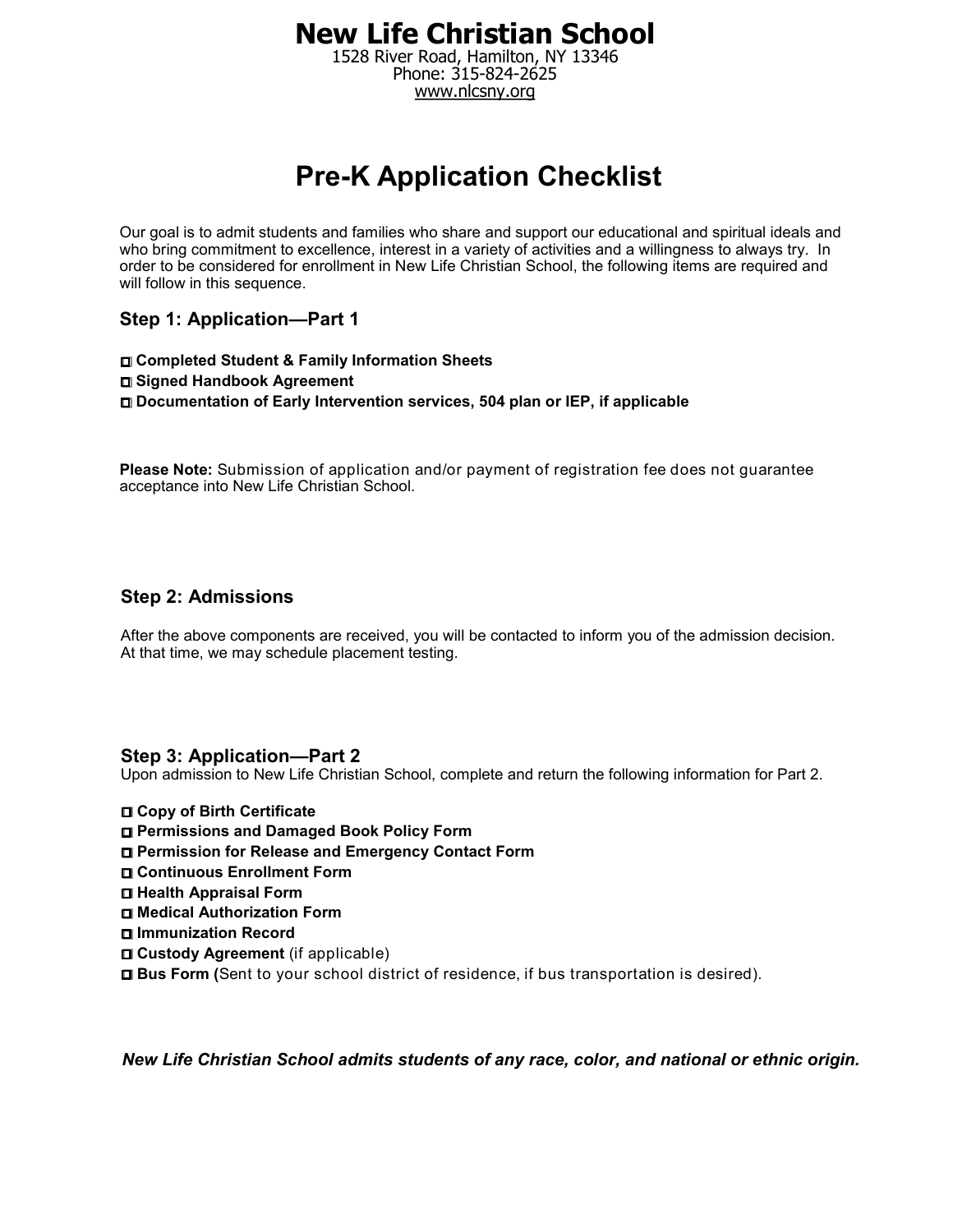1528 River Road, Hamilton, NY 13346 Phone: 315-824-2625 www.nlcsny.org

# **Pre-K Application Checklist**

Our goal is to admit students and families who share and support our educational and spiritual ideals and who bring commitment to excellence, interest in a variety of activities and a willingness to always try. In order to be considered for enrollment in New Life Christian School, the following items are required and will follow in this sequence.

**Step 1: Application—Part 1** 

**Completed Student & Family Information Sheets Signed Handbook Agreement Documentation of Early Intervention services, 504 plan or IEP, if applicable** 

**Please Note:** Submission of application and/or payment of registration fee does not guarantee acceptance into New Life Christian School.

#### **Step 2: Admissions**

After the above components are received, you will be contacted to inform you of the admission decision. At that time, we may schedule placement testing.

#### **Step 3: Application—Part 2**

Upon admission to New Life Christian School, complete and return the following information for Part 2.

- **Copy of Birth Certificate**
- **Permissions and Damaged Book Policy Form**
- **Permission for Release and Emergency Contact Form**
- **Continuous Enrollment Form**
- **Health Appraisal Form**
- **Medical Authorization Form**
- **Immunization Record**
- **Custody Agreement** (if applicable)
- **Bus Form (**Sent to your school district of residence, if bus transportation is desired).

*New Life Christian School admits students of any race, color, and national or ethnic origin.*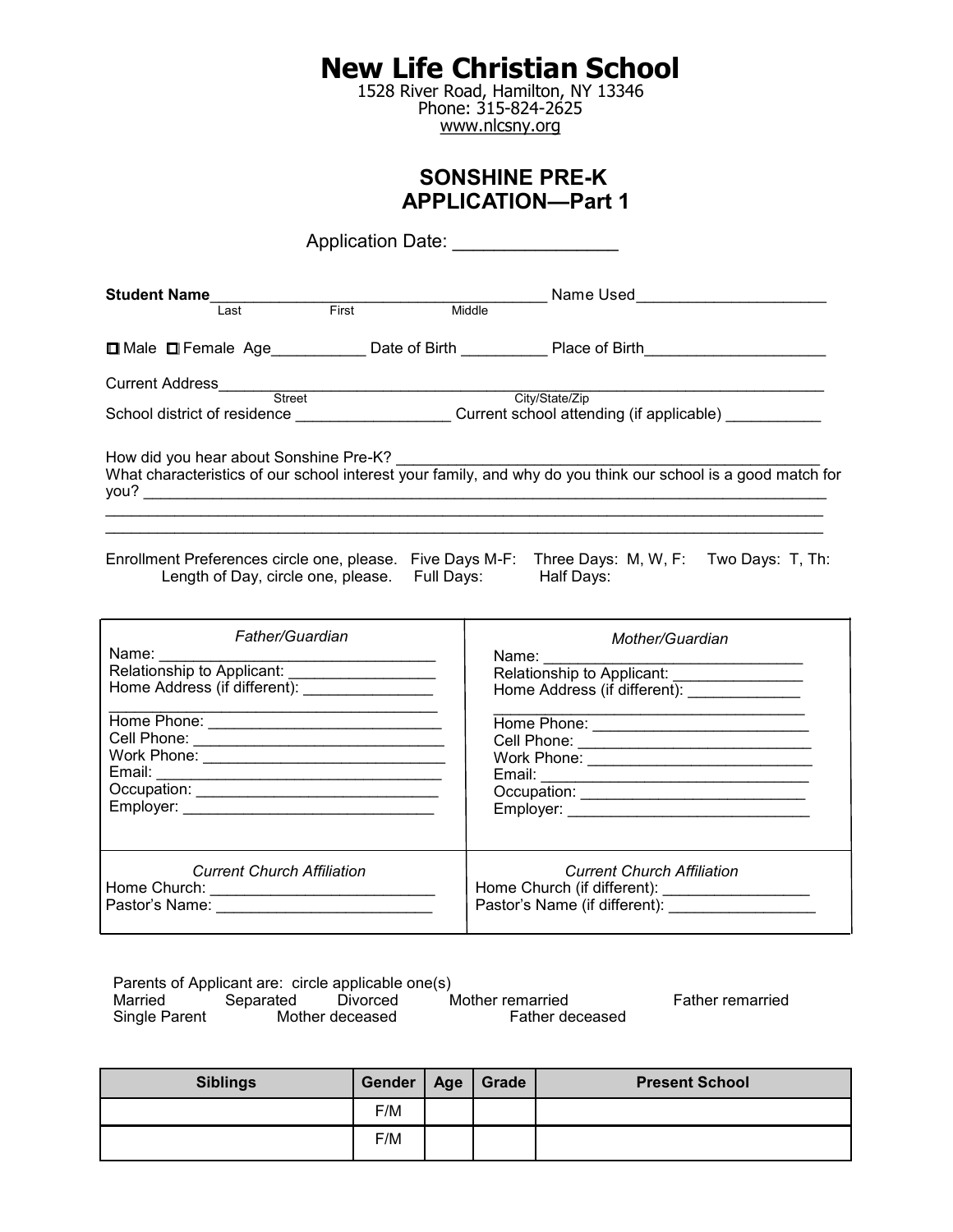1528 River Road, Hamilton, NY 13346 Phone: 315-824-2625 www.nlcsny.org

### **SONSHINE PRE-K APPLICATION—Part 1**

| Application Date: __________________                                                                      |                                                          |                                                                                                                                                                                                   |  |  |  |
|-----------------------------------------------------------------------------------------------------------|----------------------------------------------------------|---------------------------------------------------------------------------------------------------------------------------------------------------------------------------------------------------|--|--|--|
| Student Name<br>Last                                                                                      | First                                                    | Middle Name Used<br>Middle Name Used                                                                                                                                                              |  |  |  |
|                                                                                                           |                                                          | □ Male □ Female Age_____________Date of Birth _____________Place of Birth__________________________                                                                                               |  |  |  |
|                                                                                                           |                                                          | School district of residence ________________________Current school attending (if applicable) ___________                                                                                         |  |  |  |
| How did you hear about Sonshine Pre-K?                                                                    |                                                          |                                                                                                                                                                                                   |  |  |  |
|                                                                                                           | Length of Day, circle one, please. Full Days: Half Days: | Enrollment Preferences circle one, please. Five Days M-F: Three Days: M, W, F: Two Days: T, Th:                                                                                                   |  |  |  |
| Father/Guardian<br>Name:<br>Relationship to Applicant:<br>Home Address (if different): __________________ |                                                          | Mother/Guardian<br>Name:<br>Home Address (if different): ______________<br>Email: <u>Communication: Communication: Communication: Communication: Communication: Communication: Communication:</u> |  |  |  |
| <b>Current Church Affiliation</b>                                                                         |                                                          | <b>Current Church Affiliation</b>                                                                                                                                                                 |  |  |  |

Parents of Applicant are: circle applicable one(s)<br>Married Separated Divorced M Married Separated Divorced Mother remarried Father remarried<br>Single Parent Mother deceased Father deceased Father deceased

| <b>Siblings</b> | Gender | Age | Grade | <b>Present School</b> |
|-----------------|--------|-----|-------|-----------------------|
|                 | F/M    |     |       |                       |
|                 | F/M    |     |       |                       |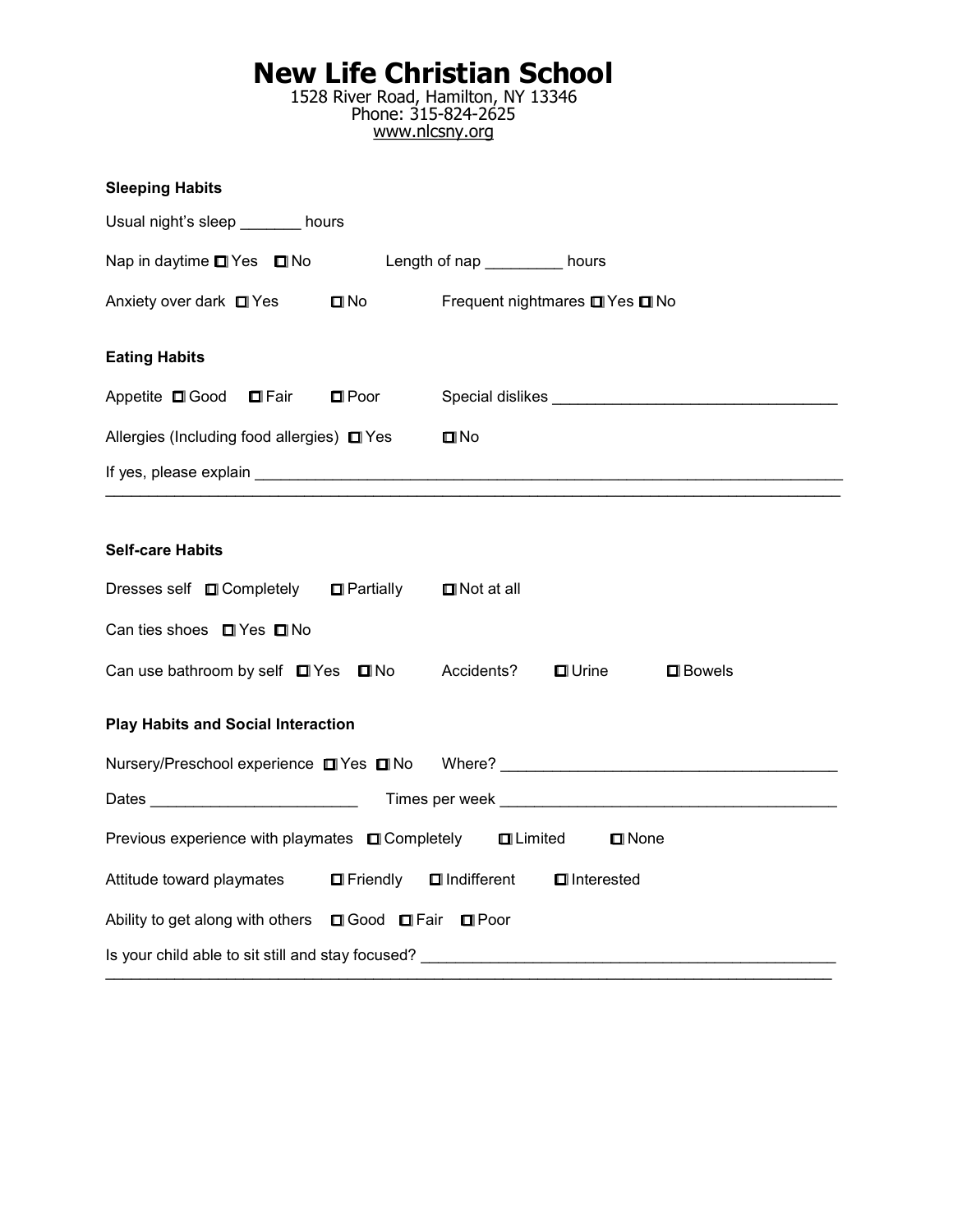1528 River Road, Hamilton, NY 13346 Phone: 315-824-2625 www.nlcsny.org

| <b>Sleeping Habits</b>                                                                    |                                                                                  |  |  |  |  |
|-------------------------------------------------------------------------------------------|----------------------------------------------------------------------------------|--|--|--|--|
| Usual night's sleep _______ hours                                                         |                                                                                  |  |  |  |  |
| Nap in daytime ■ Yes ■ No Length of nap ________ hours                                    |                                                                                  |  |  |  |  |
| Anxiety over dark ■ Yes<br>$\blacksquare$ No                                              | Frequent nightmares <b>□</b> Yes □ No                                            |  |  |  |  |
| <b>Eating Habits</b>                                                                      |                                                                                  |  |  |  |  |
| Appetite <b>□</b> Good ■ Fair<br>$\blacksquare$ Poor                                      |                                                                                  |  |  |  |  |
| Allergies (Including food allergies) □ Yes                                                | $\square$ No                                                                     |  |  |  |  |
|                                                                                           |                                                                                  |  |  |  |  |
|                                                                                           |                                                                                  |  |  |  |  |
| <b>Self-care Habits</b>                                                                   |                                                                                  |  |  |  |  |
| Dresses self ■ Completely ■ Partially                                                     | $\Box$ Not at all                                                                |  |  |  |  |
| Can ties shoes □ Yes □ No                                                                 |                                                                                  |  |  |  |  |
| Can use bathroom by self $\Box$ Yes $\Box$ No                                             | Accidents?<br>$\blacksquare$ Urine<br>$\square$ Bowels                           |  |  |  |  |
| <b>Play Habits and Social Interaction</b>                                                 |                                                                                  |  |  |  |  |
|                                                                                           | Nursery/Preschool experience ■ Yes ■ No Where? _________________________________ |  |  |  |  |
|                                                                                           |                                                                                  |  |  |  |  |
| Previous experience with playmates □ Completely<br><b>OLimited</b><br>$\blacksquare$ None |                                                                                  |  |  |  |  |
| Attitude toward playmates<br>$\blacksquare$ Friendly                                      | $\blacksquare$ Indifferent<br>$\blacksquare$ Interested                          |  |  |  |  |
| Ability to get along with others <b>Q</b> Good <b>Q</b> Fair <b>Q</b> Poor                |                                                                                  |  |  |  |  |
|                                                                                           |                                                                                  |  |  |  |  |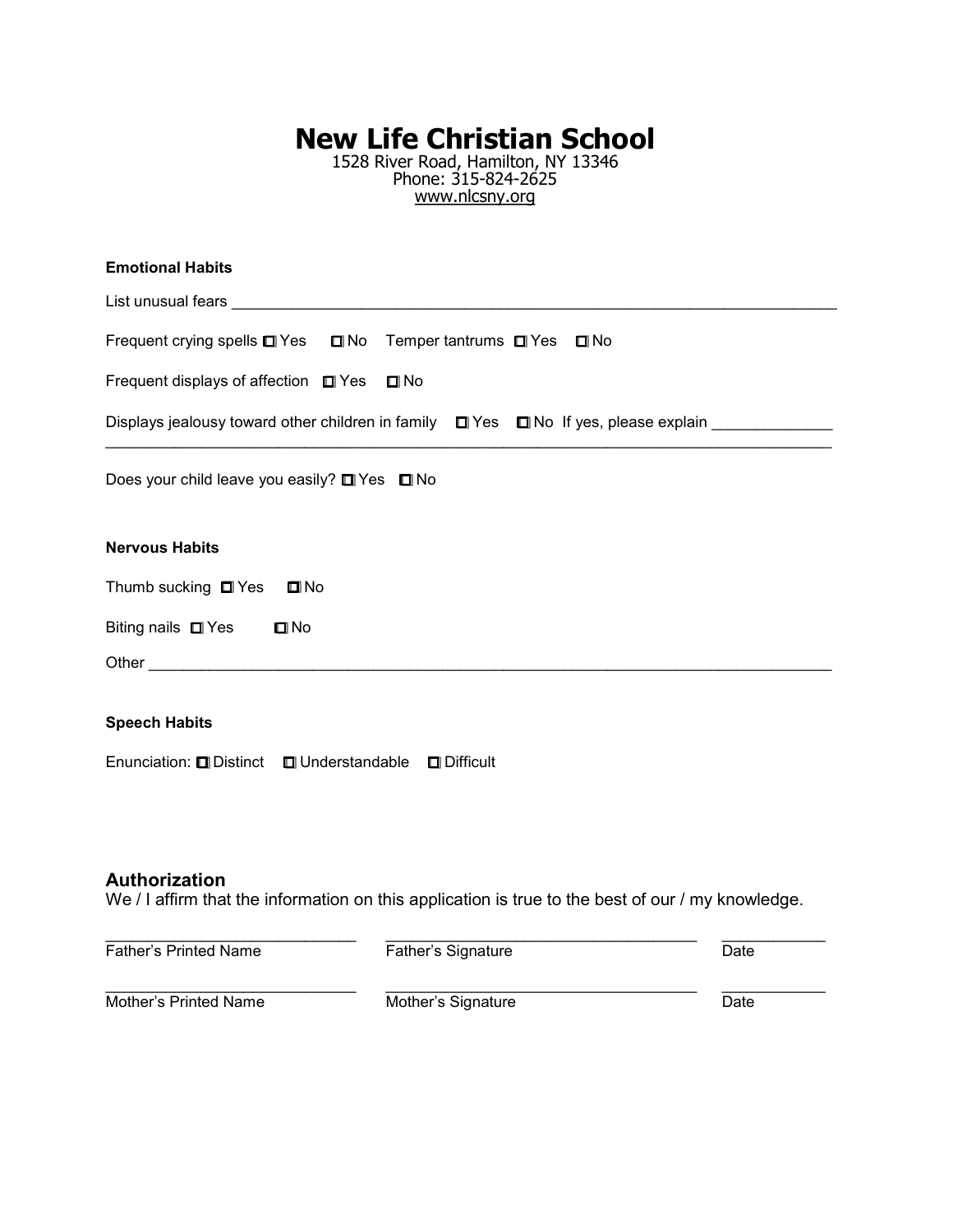1528 River Road, Hamilton, NY 13346 Phone: 315-824-2625 www.nlcsny.org

| <b>Emotional Habits</b>                                                                       |  |  |  |  |  |
|-----------------------------------------------------------------------------------------------|--|--|--|--|--|
|                                                                                               |  |  |  |  |  |
| Frequent crying spells □ Yes □ No Temper tantrums □ Yes □ No                                  |  |  |  |  |  |
| Frequent displays of affection $\Box$ Yes $\Box$ No                                           |  |  |  |  |  |
| Displays jealousy toward other children in family $\Box$ Yes $\Box$ No If yes, please explain |  |  |  |  |  |
| Does your child leave you easily? □ Yes □ No                                                  |  |  |  |  |  |
| <b>Nervous Habits</b>                                                                         |  |  |  |  |  |
| Thumb sucking $\Box$ Yes<br>$\square$ No                                                      |  |  |  |  |  |
| Biting nails $\Box$ Yes<br>$\square$ No                                                       |  |  |  |  |  |
|                                                                                               |  |  |  |  |  |
|                                                                                               |  |  |  |  |  |

### **Speech Habits**

Enunciation: **O** Distinct **O** Understandable **O** Difficult

#### **Authorization**

We / I affirm that the information on this application is true to the best of our / my knowledge.

| <b>Father's Printed Name</b> | Father's Signature | Date |  |
|------------------------------|--------------------|------|--|
| Mother's Printed Name        | Mother's Signature | Date |  |